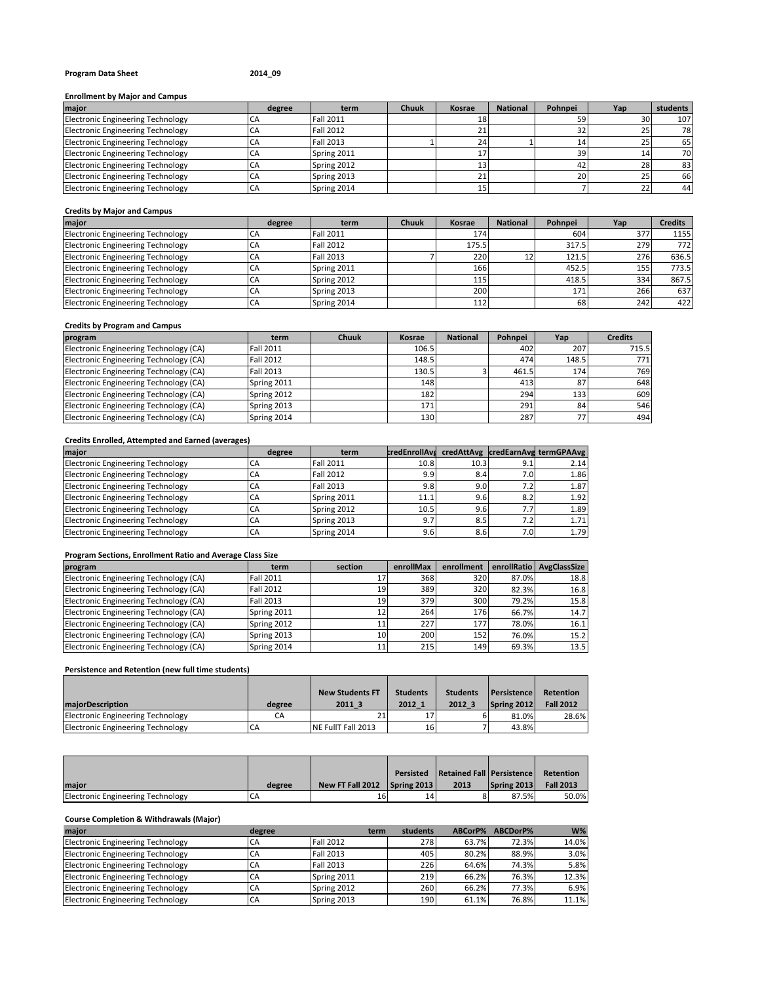# **Program Data Sheet 2014\_09**

## **Enrollment by Major and Campus**

| major                                    | degree | term             | <b>Chuuk</b> | <b>Kosrae</b> | <b>National</b> | Pohnpei | Yap | students |
|------------------------------------------|--------|------------------|--------------|---------------|-----------------|---------|-----|----------|
| <b>Electronic Engineering Technology</b> |        | <b>Fall 2011</b> |              |               |                 | 59      |     | 107      |
| <b>Electronic Engineering Technology</b> | CA     | <b>Fall 2012</b> |              |               |                 | 32      |     | 78       |
| <b>Electronic Engineering Technology</b> | CA     | <b>Fall 2013</b> |              |               |                 |         |     | 65       |
| <b>Electronic Engineering Technology</b> | CA     | Spring 2011      |              |               |                 | 39      |     | 70       |
| <b>Electronic Engineering Technology</b> | СA     | Spring 2012      |              |               |                 |         |     | 83       |
| <b>Electronic Engineering Technology</b> | CA     | Spring 2013      |              |               |                 | 20      |     | 66       |
| <b>Electronic Engineering Technology</b> | CA     | Spring 2014      |              |               |                 |         |     | 44       |

## **Credits by Major and Campus**

| major                                    | degree | term             | <b>Chuuk</b> | <b>Kosrae</b> | <b>National</b>   | Pohnpei | Yap | <b>Credits</b> |
|------------------------------------------|--------|------------------|--------------|---------------|-------------------|---------|-----|----------------|
| <b>Electronic Engineering Technology</b> | UΗ     | Fall 2011        |              | 174           |                   | 604     | 377 | 1155           |
| <b>Electronic Engineering Technology</b> | CA     | <b>Fall 2012</b> |              | 175.5         |                   | 317.5   | 279 | 772            |
| <b>Electronic Engineering Technology</b> | CA     | <b>Fall 2013</b> |              | 220           | $12 \overline{ }$ | 121.5   | 276 | 636.5          |
| <b>Electronic Engineering Technology</b> | CA     | Spring 2011      |              | 166           |                   | 452.5   | 155 | 773.5          |
| <b>Electronic Engineering Technology</b> | CA     | Spring 2012      |              | 115           |                   | 418.5   | 334 | 867.5          |
| <b>Electronic Engineering Technology</b> | CA     | Spring 2013      |              | 200           |                   | 171     | 266 | 637            |
| <b>Electronic Engineering Technology</b> | CA     | Spring 2014      |              | 112           |                   | 68      | 242 | 422            |

## **Credits by Program and Campus**

| program                                | term             | <b>Chuuk</b> | Kosrae | <b>National</b> | Pohnpei | Yap   | <b>Credits</b> |
|----------------------------------------|------------------|--------------|--------|-----------------|---------|-------|----------------|
| Electronic Engineering Technology (CA) | <b>Fall 2011</b> |              | 106.5  |                 | 402     | 207   | 715.5          |
| Electronic Engineering Technology (CA) | <b>Fall 2012</b> |              | 148.5  |                 | 474     | 148.5 | 771            |
| Electronic Engineering Technology (CA) | <b>Fall 2013</b> |              | 130.5  |                 | 461.5   | 174   | 769            |
| Electronic Engineering Technology (CA) | Spring 2011      |              | 148    |                 | 413     | 87    | 648            |
| Electronic Engineering Technology (CA) | Spring 2012      |              | 182    |                 | 294     | 133   | 609            |
| Electronic Engineering Technology (CA) | Spring 2013      |              | 171    |                 | 291     | 84    | 546            |
| Electronic Engineering Technology (CA) | Spring 2014      |              | 130    |                 | 287     | 77    | 494            |

## **Credits Enrolled, Attempted and Earned (averages)**

| major                                    | degree | term             |      |      |     | credEnrollAvs credAttAvg credEarnAvg termGPAAvg |
|------------------------------------------|--------|------------------|------|------|-----|-------------------------------------------------|
| <b>Electronic Engineering Technology</b> | CА     | <b>Fall 2011</b> | 10.8 | 10.3 | 9.1 | 2.14                                            |
| <b>Electronic Engineering Technology</b> | CA     | <b>Fall 2012</b> | 9.9  | 8.4  | 7.0 | 1.86                                            |
| <b>Electronic Engineering Technology</b> | CA     | <b>Fall 2013</b> | 9.8  | 9.01 | 7.2 | 1.87                                            |
| <b>Electronic Engineering Technology</b> | CA     | Spring 2011      | 11.1 | 9.6  | 8.2 | 1.92                                            |
| <b>Electronic Engineering Technology</b> | CА     | Spring 2012      | 10.5 | 9.6  | 7.7 | 1.89                                            |
| <b>Electronic Engineering Technology</b> | СA     | Spring 2013      | 9.7  | 8.5  | 7.2 | 1.71                                            |
| <b>Electronic Engineering Technology</b> | CA     | Spring 2014      | 9.6  | 8.6  | 7.0 | 1.79                                            |

## **Program Sections, Enrollment Ratio and Average Class Size**

| program                                | term             | section         | enrollMax | enrollment       |       | enrollRatio   AvgClassSize |
|----------------------------------------|------------------|-----------------|-----------|------------------|-------|----------------------------|
| Electronic Engineering Technology (CA) | Fall 2011        |                 | 368       | 320              | 87.0% | 18.8                       |
| Electronic Engineering Technology (CA) | <b>Fall 2012</b> | 19              | 389       | 320              | 82.3% | 16.8                       |
| Electronic Engineering Technology (CA) | <b>Fall 2013</b> | 19              | 379       | 300              | 79.2% | 15.8                       |
| Electronic Engineering Technology (CA) | Spring 2011      |                 | 264       | 176 <sup>I</sup> | 66.7% | 14.7                       |
| Electronic Engineering Technology (CA) | Spring 2012      |                 | 227       | 177              | 78.0% | 16.1                       |
| Electronic Engineering Technology (CA) | Spring 2013      | 10 <sup>1</sup> | 200       | 152              | 76.0% | 15.2                       |
| Electronic Engineering Technology (CA) | Spring 2014      |                 | 215       | 149              | 69.3% | 13.5                       |

## **Persistence and Retention (new full time students)**

|                                   |        | <b>New Students FT</b> | <b>Students</b> | <b>Students</b> | <b>Persistence</b> | Retention        |
|-----------------------------------|--------|------------------------|-----------------|-----------------|--------------------|------------------|
| maiorDescription                  | degree | 2011 3                 | 2012 1          | 2012 3          | Spring 2012        | <b>Fall 2012</b> |
| Electronic Engineering Technology | CA     |                        |                 |                 | 81.0%              | 28.6%            |
| Electronic Engineering Technology | СA     | NE FullT Fall 2013     | 16              |                 | 43.8%              |                  |

|                                   |        |                              | <b>Persisted</b> | <b>Retained Fall Persistence</b> |             | Retention        |
|-----------------------------------|--------|------------------------------|------------------|----------------------------------|-------------|------------------|
| Imaior                            | degree | New FT Fall 2012 Spring 2013 |                  | 2013                             | Spring 2013 | <b>Fall 2013</b> |
| Electronic Engineering Technology | CA     |                              | 14               |                                  | 87.5%       | 50.0%            |

## **Course Completion & Withdrawals (Major)**

| major                                    | degree | term             | students         | ABCorP% | ABCDorP% | $W\%$ |
|------------------------------------------|--------|------------------|------------------|---------|----------|-------|
| <b>Electronic Engineering Technology</b> | CA     | <b>Fall 2012</b> | 2781             | 63.7%   | 72.3%    | 14.0% |
| <b>Electronic Engineering Technology</b> | CA     | <b>Fall 2013</b> | 405              | 80.2%   | 88.9%    | 3.0%  |
| <b>Electronic Engineering Technology</b> | CA     | <b>Fall 2013</b> | 226 l            | 64.6%   | 74.3%    | 5.8%  |
| <b>Electronic Engineering Technology</b> | СA     | Spring 2011      | 2191             | 66.2%   | 76.3%    | 12.3% |
| <b>Electronic Engineering Technology</b> | CA     | Spring 2012      | 260              | 66.2%   | 77.3%    | 6.9%  |
| <b>Electronic Engineering Technology</b> | CA     | Spring 2013      | 190 <sup> </sup> | 61.1%   | 76.8%    | 11.1% |